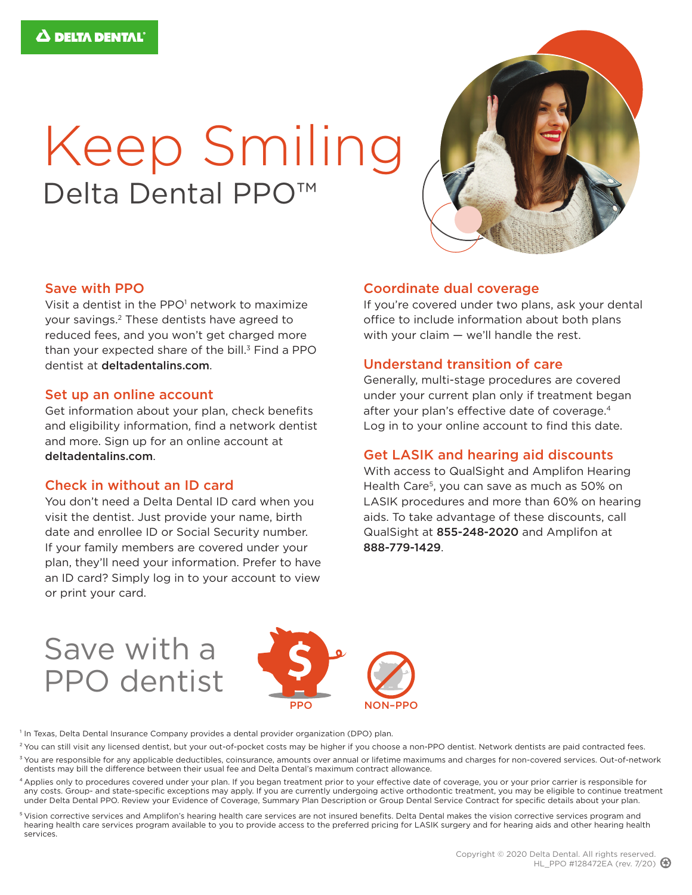# Keep Smiling Delta Dental PPO<sup>™</sup>



#### Save with PPO

Visit a dentist in the PPO<sup>1</sup> network to maximize your savings.2 These dentists have agreed to reduced fees, and you won't get charged more than your expected share of the bill. $3$  Find a PPO dentist at deltadentalins.com.

#### Set up an online account

Get information about your plan, check benefits and eligibility information, find a network dentist and more. Sign up for an online account at deltadentalins.com.

#### Check in without an ID card

You don't need a Delta Dental ID card when you visit the dentist. Just provide your name, birth date and enrollee ID or Social Security number. If your family members are covered under your plan, they'll need your information. Prefer to have an ID card? Simply log in to your account to view or print your card.

#### Coordinate dual coverage

If you're covered under two plans, ask your dental office to include information about both plans with your claim — we'll handle the rest.

#### Understand transition of care

Generally, multi-stage procedures are covered under your current plan only if treatment began after your plan's effective date of coverage.<sup>4</sup> Log in to your online account to find this date.

#### Get LASIK and hearing aid discounts

With access to QualSight and Amplifon Hearing Health Care<sup>5</sup>, you can save as much as 50% on LASIK procedures and more than 60% on hearing aids. To take advantage of these discounts, call QualSight at 855-248-2020 and Amplifon at 888-779-1429.

## Save with a PPO dentist



<sup>1</sup> In Texas, Delta Dental Insurance Company provides a dental provider organization (DPO) plan.

- <sup>2</sup> You can still visit any licensed dentist, but your out-of-pocket costs may be higher if you choose a non-PPO dentist. Network dentists are paid contracted fees.
- <sup>3</sup> You are responsible for any applicable deductibles, coinsurance, amounts over annual or lifetime maximums and charges for non-covered services. Out-of-network dentists may bill the difference between their usual fee and Delta Dental's maximum contract allowance.
- 4 Applies only to procedures covered under your plan. If you began treatment prior to your effective date of coverage, you or your prior carrier is responsible for any costs. Group- and state-specific exceptions may apply. If you are currently undergoing active orthodontic treatment, you may be eligible to continue treatment under Delta Dental PPO. Review your Evidence of Coverage, Summary Plan Description or Group Dental Service Contract for specific details about your plan.
- 5 Vision corrective services and Amplifon's hearing health care services are not insured benefits. Delta Dental makes the vision corrective services program and hearing health care services program available to you to provide access to the preferred pricing for LASIK surgery and for hearing aids and other hearing health services.